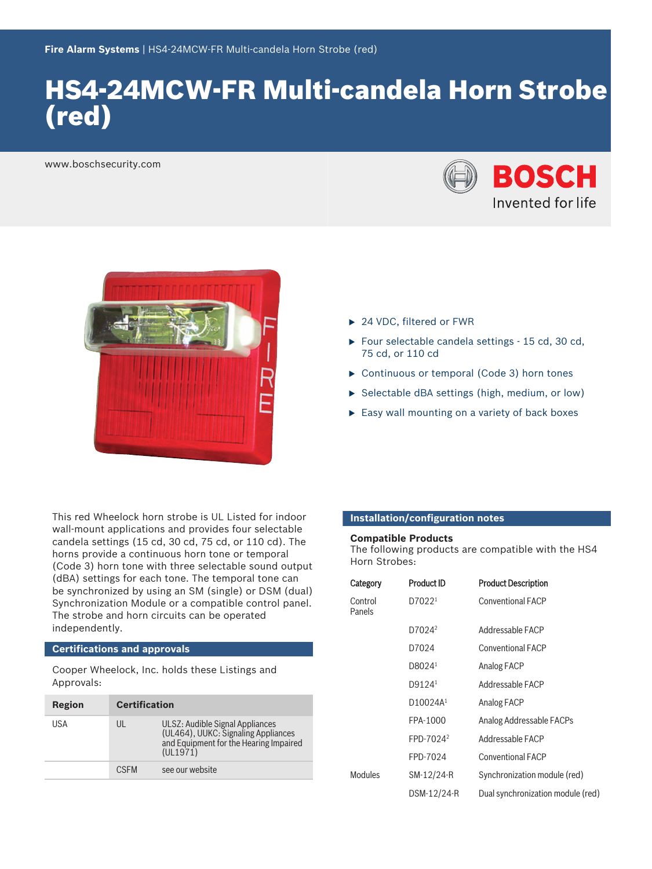# HS4‑24MCW‑FR Multi‑candela Horn Strobe (red)

www.boschsecurity.com





This red Wheelock horn strobe is UL Listed for indoor wall-mount applications and provides four selectable candela settings (15 cd, 30 cd, 75 cd, or 110 cd). The horns provide a continuous horn tone or temporal (Code 3) horn tone with three selectable sound output (dBA) settings for each tone. The temporal tone can be synchronized by using an SM (single) or DSM (dual) Synchronization Module or a compatible control panel. The strobe and horn circuits can be operated independently.

# **Certifications and approvals**

Cooper Wheelock, Inc. holds these Listings and Approvals:

| Region | <b>Certification</b> |                                                                                                                              |
|--------|----------------------|------------------------------------------------------------------------------------------------------------------------------|
| USA    | UL                   | ULSZ: Audible Signal Appliances<br>(UL464), UUKC: Signaling Appliances<br>and Equipment for the Hearing Impaired<br>(UL1971) |
|        | <b>CSEM</b>          | see our website                                                                                                              |
|        |                      |                                                                                                                              |

- ▶ 24 VDC, filtered or FWR
- $\triangleright$  Four selectable candela settings  $-15$  cd, 30 cd, 75 cd, or 110 cd
- $\triangleright$  Continuous or temporal (Code 3) horn tones
- $\triangleright$  Selectable dBA settings (high, medium, or low)
- $\blacktriangleright$  Easy wall mounting on a variety of back boxes

# **Installation/configuration notes**

### **Compatible Products**

The following products are compatible with the HS4 Horn Strobes:

| Category          | <b>Product ID</b>     | <b>Product Description</b>        |
|-------------------|-----------------------|-----------------------------------|
| Control<br>Panels | D7022 <sup>1</sup>    | <b>Conventional FACP</b>          |
|                   | D7024 <sup>2</sup>    | Addressable FACP                  |
|                   | D7024                 | <b>Conventional FACP</b>          |
|                   | D8024 <sup>1</sup>    | Analog FACP                       |
|                   | D9124 <sup>1</sup>    | Addressable FACP                  |
|                   | D10024A <sup>1</sup>  | Analog FACP                       |
|                   | FPA-1000              | Analog Addressable FACPs          |
|                   | FPD-7024 <sup>2</sup> | Addressable FACP                  |
|                   | FPD-7024              | <b>Conventional FACP</b>          |
| <b>Modules</b>    | SM-12/24-R            | Synchronization module (red)      |
|                   | DSM-12/24-R           | Dual synchronization module (red) |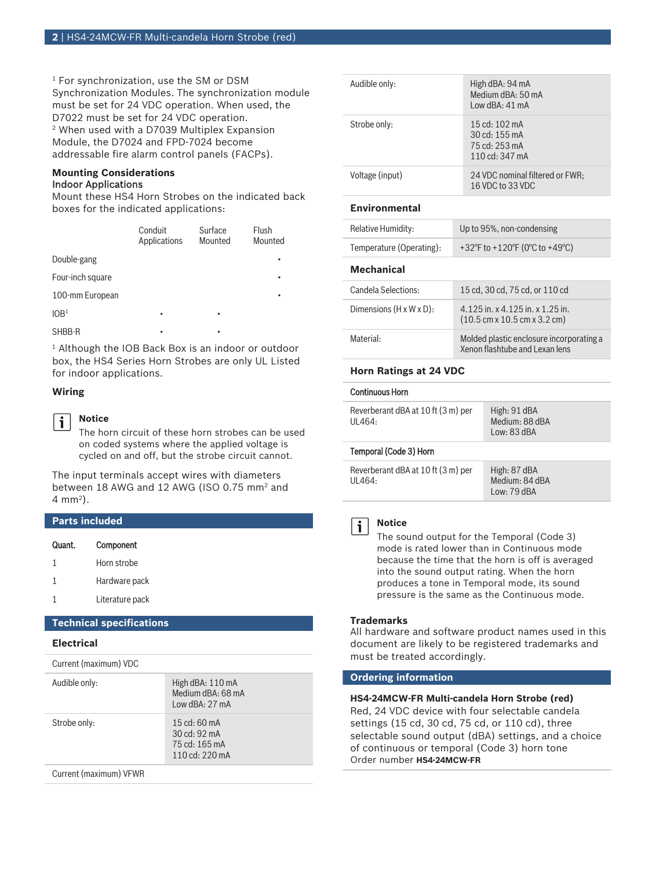1 For synchronization, use the SM or DSM Synchronization Modules. The synchronization module must be set for 24 VDC operation. When used, the D7022 must be set for 24 VDC operation. 2 When used with a D7039 Multiplex Expansion Module, the D7024 and FPD-7024 become addressable fire alarm control panels (FACPs).

# **Mounting Considerations** Indoor Applications

Mount these HS4 Horn Strobes on the indicated back boxes for the indicated applications:

|                  | Conduit<br>Applications | Surface<br>Mounted | Flush<br>Mounted |
|------------------|-------------------------|--------------------|------------------|
| Double-gang      |                         |                    | ٠                |
| Four-inch square |                         |                    | ٠                |
| 100-mm European  |                         |                    | ٠                |
| 10B <sup>1</sup> | ٠                       | ٠                  |                  |
| SHBB-R           |                         | ٠                  |                  |

1 Although the IOB Back Box is an indoor or outdoor box, the HS4 Series Horn Strobes are only UL Listed for indoor applications.

# **Wiring**

j.

# **Notice**

The horn circuit of these horn strobes can be used on coded systems where the applied voltage is cycled on and off, but the strobe circuit cannot.

The input terminals accept wires with diameters between 18 AWG and 12 AWG (ISO 0.75 mm<sup>2</sup> and 4 mm<sup>2</sup> ).

# **Parts included**

| Quant. | Component       |
|--------|-----------------|
| 1      | Horn strobe     |
| 1      | Hardware pack   |
|        | Literature pack |

# **Technical specifications**

# **Electrical**

|  | Current (maximum) VDC |  |
|--|-----------------------|--|
|--|-----------------------|--|

| Audible only:          | High dBA: 110 mA<br>Medium dBA: 68 mA<br>Low dBA: 27 mA                    |
|------------------------|----------------------------------------------------------------------------|
| Strobe only:           | $15 \text{ cd}$ : 60 mA<br>30 cd: 92 mA<br>75 cd: 165 mA<br>110 cd: 220 mA |
| Current (maximum) VFWR |                                                                            |

| Audible only:   | High dBA: 94 mA<br>Medium dBA: 50 mA<br>Iow dBA: 41 mA                                 |
|-----------------|----------------------------------------------------------------------------------------|
| Strobe only:    | 15 cd: 102 mA<br>30 cd: 155 mA<br>$75 \text{ cd}$ : 253 mA<br>110 cd: $347 \text{ mA}$ |
| Voltage (input) | 24 VDC nominal filtered or FWR;<br>16 VDC to 33 VDC                                    |

#### **Environmental**

| Relative Humidity:                   | Up to 95%, non-condensing                                                                                  |
|--------------------------------------|------------------------------------------------------------------------------------------------------------|
| Temperature (Operating):             | +32°F to +120°F (0°C to +49°C)                                                                             |
| Mechanical                           |                                                                                                            |
| Candela Selections:                  | 15 cd. 30 cd. 75 cd. or 110 cd                                                                             |
| Dimensions $(H \times W \times D)$ : | $4.125$ in. x $4.125$ in. x $1.25$ in.<br>$(10.5 \text{ cm} \times 10.5 \text{ cm} \times 3.2 \text{ cm})$ |
| Material:                            | Molded plastic enclosure incorporating a<br>Xenon flashtube and Lexan lens                                 |

### **Horn Ratings at 24 VDC**

#### Continuous Horn

| Reverberant dBA at 10 ft (3 m) per | High: 91 dBA   |
|------------------------------------|----------------|
| UL464:                             | Medium: 88 dBA |
|                                    | Low: 83 dBA    |

#### Temporal (Code 3) Horn

| Reverberant dBA at 10 ft (3 m) per | High:  |
|------------------------------------|--------|
| UL464:                             | Medi   |
|                                    | $\sim$ |

87 dBA um: 84 dBA Low: 79 dBA



# **Notice**

The sound output for the Temporal (Code 3) mode is rated lower than in Continuous mode because the time that the horn is off is averaged into the sound output rating. When the horn produces a tone in Temporal mode, its sound pressure is the same as the Continuous mode.

### **Trademarks**

All hardware and software product names used in this document are likely to be registered trademarks and must be treated accordingly.

# **Ordering information**

# **HS4‑24MCW‑FR Multi‑candela Horn Strobe (red)**

Red, 24 VDC device with four selectable candela settings (15 cd, 30 cd, 75 cd, or 110 cd), three selectable sound output (dBA) settings, and a choice of continuous or temporal (Code 3) horn tone Order number **HS4-24MCW-FR**